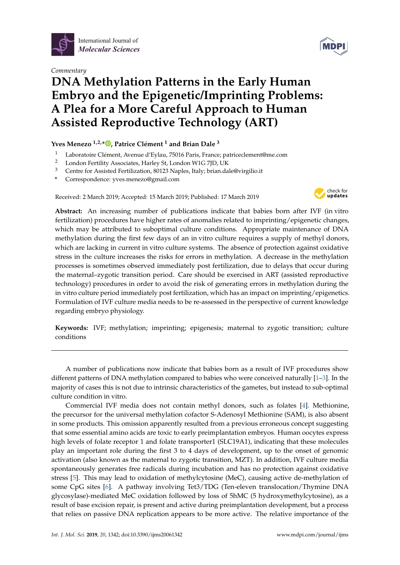

*Commentary*

## **DNA Methylation Patterns in the Early Human Embryo and the Epigenetic/Imprinting Problems: A Plea for a More Careful Approach to Human Assisted Reproductive Technology (ART)**

## **Yves Menezo 1,2,[\\*](https://orcid.org/0000-0001-6861-8905) , Patrice Clément <sup>1</sup> and Brian Dale <sup>3</sup>**

- Laboratoire Clément, Avenue d'Eylau, 75016 Paris, France; patriceclement@me.com
- <sup>2</sup> London Fertility Associates, Harley St, London W1G 7JD, UK
- <sup>3</sup> Centre for Assisted Fertilization, 80123 Naples, Italy; brian.dale@virgilio.it
- **\*** Correspondence: yves.menezo@gmail.com

Received: 2 March 2019; Accepted: 15 March 2019; Published: 17 March 2019



**Abstract:** An increasing number of publications indicate that babies born after IVF (in vitro fertilization) procedures have higher rates of anomalies related to imprinting/epigenetic changes, which may be attributed to suboptimal culture conditions. Appropriate maintenance of DNA methylation during the first few days of an in vitro culture requires a supply of methyl donors, which are lacking in current in vitro culture systems. The absence of protection against oxidative stress in the culture increases the risks for errors in methylation. A decrease in the methylation processes is sometimes observed immediately post fertilization, due to delays that occur during the maternal–zygotic transition period. Care should be exercised in ART (assisted reproductive technology) procedures in order to avoid the risk of generating errors in methylation during the in vitro culture period immediately post fertilization, which has an impact on imprinting/epigenetics. Formulation of IVF culture media needs to be re-assessed in the perspective of current knowledge regarding embryo physiology.

**Keywords:** IVF; methylation; imprinting; epigenesis; maternal to zygotic transition; culture conditions

A number of publications now indicate that babies born as a result of IVF procedures show different patterns of DNA methylation compared to babies who were conceived naturally [\[1–](#page-2-0)[3\]](#page-2-1). In the majority of cases this is not due to intrinsic characteristics of the gametes, but instead to sub-optimal culture condition in vitro.

Commercial IVF media does not contain methyl donors, such as folates [\[4\]](#page-2-2). Methionine, the precursor for the universal methylation cofactor S-Adenosyl Methionine (SAM), is also absent in some products. This omission apparently resulted from a previous erroneous concept suggesting that some essential amino acids are toxic to early preimplantation embryos. Human oocytes express high levels of folate receptor 1 and folate transporter1 (SLC19A1), indicating that these molecules play an important role during the first 3 to 4 days of development, up to the onset of genomic activation (also known as the maternal to zygotic transition, MZT). In addition, IVF culture media spontaneously generates free radicals during incubation and has no protection against oxidative stress [\[5\]](#page-2-3). This may lead to oxidation of methylcytosine (MeC), causing active de-methylation of some CpG sites [\[6\]](#page-2-4). A pathway involving Tet3/TDG (Ten-eleven translocation/Thymine DNA glycosylase)-mediated MeC oxidation followed by loss of 5hMC (5 hydroxymethylcytosine), as a result of base excision repair, is present and active during preimplantation development, but a process that relies on passive DNA replication appears to be more active. The relative importance of the

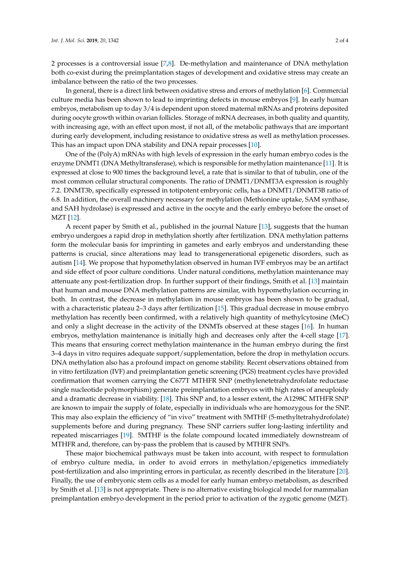2 processes is a controversial issue [\[7](#page-2-5)[,8\]](#page-2-6). De-methylation and maintenance of DNA methylation both co-exist during the preimplantation stages of development and oxidative stress may create an imbalance between the ratio of the two processes.

In general, there is a direct link between oxidative stress and errors of methylation [\[6\]](#page-2-4). Commercial culture media has been shown to lead to imprinting defects in mouse embryos [\[9\]](#page-2-7). In early human embryos, metabolism up to day 3/4 is dependent upon stored maternal mRNAs and proteins deposited during oocyte growth within ovarian follicles. Storage of mRNA decreases, in both quality and quantity, with increasing age, with an effect upon most, if not all, of the metabolic pathways that are important during early development, including resistance to oxidative stress as well as methylation processes. This has an impact upon DNA stability and DNA repair processes [\[10\]](#page-2-8).

One of the (PolyA) mRNAs with high levels of expression in the early human embryo codes is the enzyme DNMT1 (DNA Methyltransferase), which is responsible for methylation maintenance [\[11\]](#page-2-9). It is expressed at close to 900 times the background level, a rate that is similar to that of tubulin, one of the most common cellular structural components. The ratio of DNMT1/DNMT3A expression is roughly 7.2. DNMT3b, specifically expressed in totipotent embryonic cells, has a DNMT1/DNMT3B ratio of 6.8. In addition, the overall machinery necessary for methylation (Methionine uptake, SAM synthase, and SAH hydrolase) is expressed and active in the oocyte and the early embryo before the onset of MZT [\[12\]](#page-2-10).

A recent paper by Smith et al., published in the journal Nature [\[13\]](#page-2-11), suggests that the human embryo undergoes a rapid drop in methylation shortly after fertilization. DNA methylation patterns form the molecular basis for imprinting in gametes and early embryos and understanding these patterns is crucial, since alterations may lead to transgenerational epigenetic disorders, such as autism [\[14\]](#page-2-12). We propose that hypomethylation observed in human IVF embryos may be an artifact and side effect of poor culture conditions. Under natural conditions, methylation maintenance may attenuate any post-fertilization drop. In further support of their findings, Smith et al. [\[13\]](#page-2-11) maintain that human and mouse DNA methylation patterns are similar, with hypomethylation occurring in both. In contrast, the decrease in methylation in mouse embryos has been shown to be gradual, with a characteristic plateau 2–3 days after fertilization [\[15\]](#page-2-13). This gradual decrease in mouse embryo methylation has recently been confirmed, with a relatively high quantity of methylcytosine (MeC) and only a slight decrease in the activity of the DNMTs observed at these stages [\[16\]](#page-3-0). In human embryos, methylation maintenance is initially high and decreases only after the 4-cell stage [\[17\]](#page-3-1). This means that ensuring correct methylation maintenance in the human embryo during the first 3–4 days in vitro requires adequate support/supplementation, before the drop in methylation occurs. DNA methylation also has a profound impact on genome stability. Recent observations obtained from in vitro fertilization (IVF) and preimplantation genetic screening (PGS) treatment cycles have provided confirmation that women carrying the C677T MTHFR SNP (methylenetetrahydrofolate reductase single nucleotide polymorphism) generate preimplantation embryos with high rates of aneuploidy and a dramatic decrease in viability. [\[18\]](#page-3-2). This SNP and, to a lesser extent, the A1298C MTHFR SNP are known to impair the supply of folate, especially in individuals who are homozygous for the SNP. This may also explain the efficiency of "in vivo" treatment with 5MTHF (5-methyltetrahydrofolate) supplements before and during pregnancy. These SNP carriers suffer long-lasting infertility and repeated miscarriages [\[19\]](#page-3-3). 5MTHF is the folate compound located immediately downstream of MTHFR and, therefore, can by-pass the problem that is caused by MTHFR SNPs.

These major biochemical pathways must be taken into account, with respect to formulation of embryo culture media, in order to avoid errors in methylation/epigenetics immediately post-fertilization and also imprinting errors in particular, as recently described in the literature [\[20\]](#page-3-4). Finally, the use of embryonic stem cells as a model for early human embryo metabolism, as described by Smith et al. [\[13\]](#page-2-11) is not appropriate. There is no alternative existing biological model for mammalian preimplantation embryo development in the period prior to activation of the zygotic genome (MZT).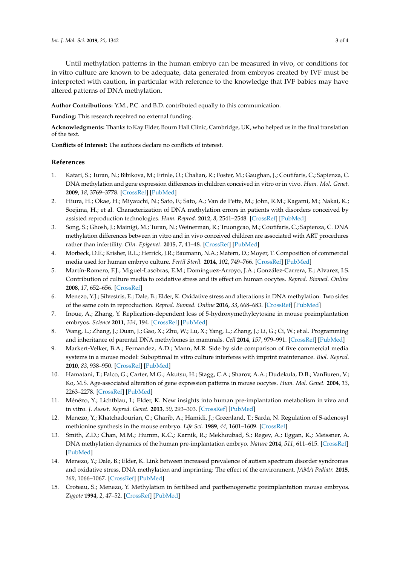Until methylation patterns in the human embryo can be measured in vivo, or conditions for in vitro culture are known to be adequate, data generated from embryos created by IVF must be interpreted with caution, in particular with reference to the knowledge that IVF babies may have altered patterns of DNA methylation.

**Author Contributions:** Y.M., P.C. and B.D. contributed equally to this communication.

**Funding:** This research received no external funding.

**Acknowledgments:** Thanks to Kay Elder, Bourn Hall Clinic, Cambridge, UK, who helped us in the final translation of the text.

**Conflicts of Interest:** The authors declare no conflicts of interest.

## **References**

- <span id="page-2-0"></span>1. Katari, S.; Turan, N.; Bibikova, M.; Erinle, O.; Chalian, R.; Foster, M.; Gaughan, J.; Coutifaris, C.; Sapienza, C. DNA methylation and gene expression differences in children conceived in vitro or in vivo. *Hum. Mol. Genet.* **2009**, *18*, 3769–3778. [\[CrossRef\]](http://dx.doi.org/10.1093/hmg/ddp319) [\[PubMed\]](http://www.ncbi.nlm.nih.gov/pubmed/19605411)
- 2. Hiura, H.; Okae, H.; Miyauchi, N.; Sato, F.; Sato, A.; Van de Pette, M.; John, R.M.; Kagami, M.; Nakai, K.; Soejima, H.; et al. Characterization of DNA methylation errors in patients with disorders conceived by assisted reproduction technologies. *Hum. Reprod.* **2012**, *8*, 2541–2548. [\[CrossRef\]](http://dx.doi.org/10.1093/humrep/des197) [\[PubMed\]](http://www.ncbi.nlm.nih.gov/pubmed/22674207)
- <span id="page-2-1"></span>3. Song, S.; Ghosh, J.; Mainigi, M.; Turan, N.; Weinerman, R.; Truongcao, M.; Coutifaris, C.; Sapienza, C. DNA methylation differences between in vitro and in vivo conceived children are associated with ART procedures rather than infertility. *Clin. Epigenet.* **2015**, *7*, 41–48. [\[CrossRef\]](http://dx.doi.org/10.1186/s13148-015-0071-7) [\[PubMed\]](http://www.ncbi.nlm.nih.gov/pubmed/25901188)
- <span id="page-2-2"></span>4. Morbeck, D.E.; Krisher, R.L.; Herrick, J.R.; Baumann, N.A.; Matern, D.; Moyer, T. Composition of commercial media used for human embryo culture. *Fertil Steril.* **2014**, *102*, 749–766. [\[CrossRef\]](http://dx.doi.org/10.1016/j.fertnstert.2014.05.043) [\[PubMed\]](http://www.ncbi.nlm.nih.gov/pubmed/24998366)
- <span id="page-2-3"></span>5. Martín-Romero, F.J.; Miguel-Lasobras, E.M.; Domínguez-Arroyo, J.A.; González-Carrera, E.; Alvarez, I.S. Contribution of culture media to oxidative stress and its effect on human oocytes. *Reprod. Biomed. Online* **2008**, *17*, 652–656. [\[CrossRef\]](http://dx.doi.org/10.1016/S1472-6483(10)60312-4)
- <span id="page-2-4"></span>6. Menezo, Y.J.; Silvestris, E.; Dale, B.; Elder, K. Oxidative stress and alterations in DNA methylation: Two sides of the same coin in reproduction. *Reprod. Biomed. Online* **2016**, *33*, 668–683. [\[CrossRef\]](http://dx.doi.org/10.1016/j.rbmo.2016.09.006) [\[PubMed\]](http://www.ncbi.nlm.nih.gov/pubmed/27742259)
- <span id="page-2-5"></span>7. Inoue, A.; Zhang, Y. Replication-dependent loss of 5-hydroxymethylcytosine in mouse preimplantation embryos. *Science* **2011**, *334*, 194. [\[CrossRef\]](http://dx.doi.org/10.1126/science.1212483) [\[PubMed\]](http://www.ncbi.nlm.nih.gov/pubmed/21940858)
- <span id="page-2-6"></span>8. Wang, L.; Zhang, J.; Duan, J.; Gao, X.; Zhu, W.; Lu, X.; Yang, L.; Zhang, J.; Li, G.; Ci, W.; et al. Programming and inheritance of parental DNA methylomes in mammals. *Cell* **2014**, *157*, 979–991. [\[CrossRef\]](http://dx.doi.org/10.1016/j.cell.2014.04.017) [\[PubMed\]](http://www.ncbi.nlm.nih.gov/pubmed/24813617)
- <span id="page-2-7"></span>9. Markert-Velker, B.A.; Fernandez, A.D.; Mann, M.R. Side by side comparison of five commercial media systems in a mouse model: Suboptimal in vitro culture interferes with imprint maintenance. *Biol. Reprod.* **2010**, *83*, 938–950. [\[CrossRef\]](http://dx.doi.org/10.1095/biolreprod.110.085480) [\[PubMed\]](http://www.ncbi.nlm.nih.gov/pubmed/20702853)
- <span id="page-2-8"></span>10. Hamatani, T.; Falco, G.; Carter, M.G.; Akutsu, H.; Stagg, C.A.; Sharov, A.A.; Dudekula, D.B.; VanBuren, V.; Ko, M.S. Age-associated alteration of gene expression patterns in mouse oocytes. *Hum. Mol. Genet.* **2004**, *13*, 2263–2278. [\[CrossRef\]](http://dx.doi.org/10.1093/hmg/ddh241) [\[PubMed\]](http://www.ncbi.nlm.nih.gov/pubmed/15317747)
- <span id="page-2-9"></span>11. Ménézo, Y.; Lichtblau, I.; Elder, K. New insights into human pre-implantation metabolism in vivo and in vitro. *J. Assist. Reprod. Genet.* **2013**, *30*, 293–303. [\[CrossRef\]](http://dx.doi.org/10.1007/s10815-013-9953-9) [\[PubMed\]](http://www.ncbi.nlm.nih.gov/pubmed/23430228)
- <span id="page-2-10"></span>12. Menezo, Y.; Khatchadourian, C.; Gharib, A.; Hamidi, J.; Greenland, T.; Sarda, N. Regulation of S-adenosyl methionine synthesis in the mouse embryo. *Life Sci.* **1989**, *44*, 1601–1609. [\[CrossRef\]](http://dx.doi.org/10.1016/0024-3205(89)90455-4)
- <span id="page-2-11"></span>13. Smith, Z.D.; Chan, M.M.; Humm, K.C.; Karnik, R.; Mekhoubad, S.; Regev, A.; Eggan, K.; Meissner, A. DNA methylation dynamics of the human pre-implantation embryo. *Nature* **2014**, *511*, 611–615. [\[CrossRef\]](http://dx.doi.org/10.1038/nature13581) [\[PubMed\]](http://www.ncbi.nlm.nih.gov/pubmed/25079558)
- <span id="page-2-12"></span>14. Menezo, Y.; Dale, B.; Elder, K. Link between increased prevalence of autism spectrum disorder syndromes and oxidative stress, DNA methylation and imprinting: The effect of the environment. *JAMA Pediatr.* **2015**, *169*, 1066–1067. [\[CrossRef\]](http://dx.doi.org/10.1001/jamapediatrics.2015.2125) [\[PubMed\]](http://www.ncbi.nlm.nih.gov/pubmed/26414354)
- <span id="page-2-13"></span>15. Croteau, S.; Menezo, Y. Methylation in fertilised and parthenogenetic preimplantation mouse embryos. *Zygote* **1994**, *2*, 47–52. [\[CrossRef\]](http://dx.doi.org/10.1017/S0967199400001751) [\[PubMed\]](http://www.ncbi.nlm.nih.gov/pubmed/7881915)